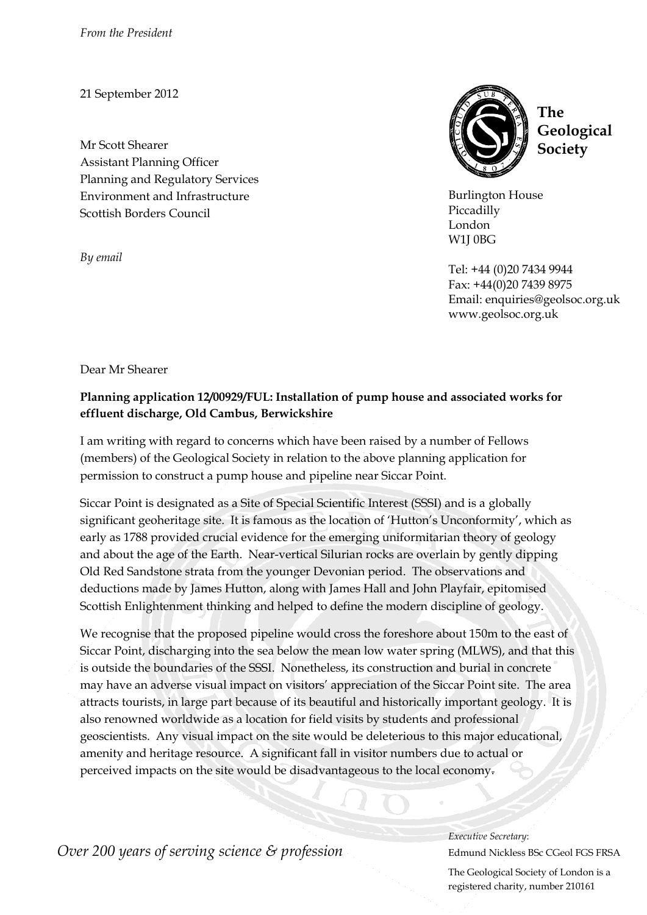*From the President*

21 September 2012

Mr Scott Shearer Assistant Planning Officer Planning and Regulatory Services Environment and Infrastructure Scottish Borders Council

*By email*



**The Geological Society**

Burlington House Piccadilly London W1J 0BG

Tel: +44 (0)20 7434 9944 Fax: +44(0)20 7439 8975 Email: enquiries@geolsoc.org.uk www.geolsoc.org.uk

Dear Mr Shearer

## **Planning application 12/00929/FUL: Installation of pump house and associated works for effluent discharge, Old Cambus, Berwickshire**

I am writing with regard to concerns which have been raised by a number of Fellows (members) of the Geological Society in relation to the above planning application for permission to construct a pump house and pipeline near Siccar Point.

Siccar Point is designated as a Site of Special Scientific Interest (SSSI) and is a globally significant geoheritage site. It is famous as the location of 'Hutton's Unconformity', which as early as 1788 provided crucial evidence for the emerging uniformitarian theory of geology and about the age of the Earth. Near-vertical Silurian rocks are overlain by gently dipping Old Red Sandstone strata from the younger Devonian period. The observations and deductions made by James Hutton, along with James Hall and John Playfair, epitomised Scottish Enlightenment thinking and helped to define the modern discipline of geology.

We recognise that the proposed pipeline would cross the foreshore about 150m to the east of Siccar Point, discharging into the sea below the mean low water spring (MLWS), and that this is outside the boundaries of the SSSI. Nonetheless, its construction and burial in concrete may have an adverse visual impact on visitors' appreciation of the Siccar Point site. The area attracts tourists, in large part because of its beautiful and historically important geology. It is also renowned worldwide as a location for field visits by students and professional geoscientists. Any visual impact on the site would be deleterious to this major educational, amenity and heritage resource. A significant fall in visitor numbers due to actual or perceived impacts on the site would be disadvantageous to the local economy.

*Over 200 years of serving science & profession* Edmund Nickless BSc CGeol FGS FRSA

*Executive Secretary*:

The Geological Society of London is a registered charity, number 210161